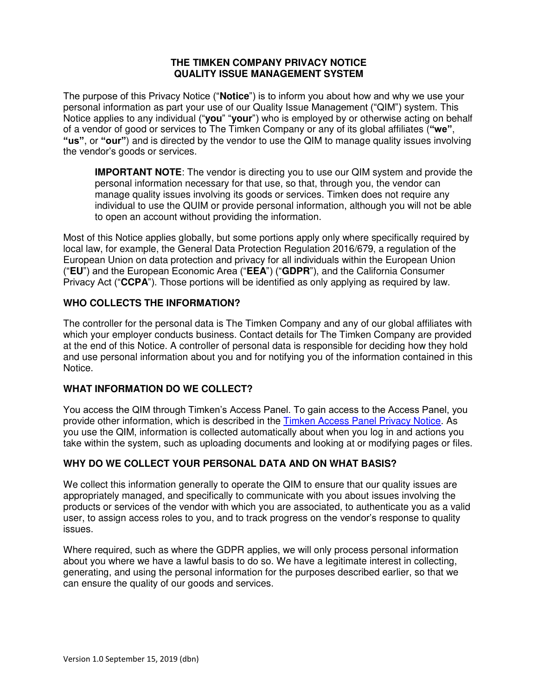#### **THE TIMKEN COMPANY PRIVACY NOTICE QUALITY ISSUE MANAGEMENT SYSTEM**

The purpose of this Privacy Notice ("**Notice**") is to inform you about how and why we use your personal information as part your use of our Quality Issue Management ("QIM") system. This Notice applies to any individual ("**you**" "**your**") who is employed by or otherwise acting on behalf of a vendor of good or services to The Timken Company or any of its global affiliates (**"we"**, **"us"**, or **"our"**) and is directed by the vendor to use the QIM to manage quality issues involving the vendor's goods or services.

**IMPORTANT NOTE:** The vendor is directing you to use our QIM system and provide the personal information necessary for that use, so that, through you, the vendor can manage quality issues involving its goods or services. Timken does not require any individual to use the QUIM or provide personal information, although you will not be able to open an account without providing the information.

Most of this Notice applies globally, but some portions apply only where specifically required by local law, for example, the General Data Protection Regulation 2016/679, a regulation of the European Union on data protection and privacy for all individuals within the European Union ("**EU**") and the European Economic Area ("**EEA**") ("**GDPR**"), and the California Consumer Privacy Act ("**CCPA**"). Those portions will be identified as only applying as required by law.

### **WHO COLLECTS THE INFORMATION?**

The controller for the personal data is The Timken Company and any of our global affiliates with which your employer conducts business. Contact details for The Timken Company are provided at the end of this Notice. A controller of personal data is responsible for deciding how they hold and use personal information about you and for notifying you of the information contained in this Notice.

# **WHAT INFORMATION DO WE COLLECT?**

You access the QIM through Timken's Access Panel. To gain access to the Access Panel, you provide other information, which is described in the [Timken Access Panel Privacy Notice.](https://www.timken.com/resources/timken-access-panel-privacy-notice/) As you use the QIM, information is collected automatically about when you log in and actions you take within the system, such as uploading documents and looking at or modifying pages or files.

## **WHY DO WE COLLECT YOUR PERSONAL DATA AND ON WHAT BASIS?**

We collect this information generally to operate the QIM to ensure that our quality issues are appropriately managed, and specifically to communicate with you about issues involving the products or services of the vendor with which you are associated, to authenticate you as a valid user, to assign access roles to you, and to track progress on the vendor's response to quality issues.

Where required, such as where the GDPR applies, we will only process personal information about you where we have a lawful basis to do so. We have a legitimate interest in collecting, generating, and using the personal information for the purposes described earlier, so that we can ensure the quality of our goods and services.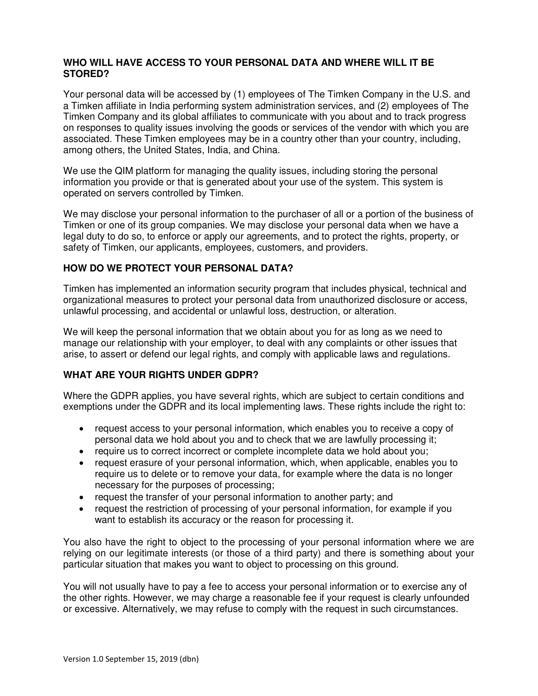#### **WHO WILL HAVE ACCESS TO YOUR PERSONAL DATA AND WHERE WILL IT BE STORED?**

Your personal data will be accessed by (1) employees of The Timken Company in the U.S. and a Timken affiliate in India performing system administration services, and (2) employees of The Timken Company and its global affiliates to communicate with you about and to track progress on responses to quality issues involving the goods or services of the vendor with which you are associated. These Timken employees may be in a country other than your country, including, among others, the United States, India, and China.

We use the QIM platform for managing the quality issues, including storing the personal information you provide or that is generated about your use of the system. This system is operated on servers controlled by Timken.

We may disclose your personal information to the purchaser of all or a portion of the business of Timken or one of its group companies. We may disclose your personal data when we have a legal duty to do so, to enforce or apply our agreements, and to protect the rights, property, or safety of Timken, our applicants, employees, customers, and providers.

### **HOW DO WE PROTECT YOUR PERSONAL DATA?**

Timken has implemented an information security program that includes physical, technical and organizational measures to protect your personal data from unauthorized disclosure or access, unlawful processing, and accidental or unlawful loss, destruction, or alteration.

We will keep the personal information that we obtain about you for as long as we need to manage our relationship with your employer, to deal with any complaints or other issues that arise, to assert or defend our legal rights, and comply with applicable laws and regulations.

### **WHAT ARE YOUR RIGHTS UNDER GDPR?**

Where the GDPR applies, you have several rights, which are subject to certain conditions and exemptions under the GDPR and its local implementing laws. These rights include the right to:

- request access to your personal information, which enables you to receive a copy of personal data we hold about you and to check that we are lawfully processing it;
- require us to correct incorrect or complete incomplete data we hold about you;
- request erasure of your personal information, which, when applicable, enables you to require us to delete or to remove your data, for example where the data is no longer necessary for the purposes of processing;
- request the transfer of your personal information to another party; and
- request the restriction of processing of your personal information, for example if you want to establish its accuracy or the reason for processing it.

You also have the right to object to the processing of your personal information where we are relying on our legitimate interests (or those of a third party) and there is something about your particular situation that makes you want to object to processing on this ground.

You will not usually have to pay a fee to access your personal information or to exercise any of the other rights. However, we may charge a reasonable fee if your request is clearly unfounded or excessive. Alternatively, we may refuse to comply with the request in such circumstances.